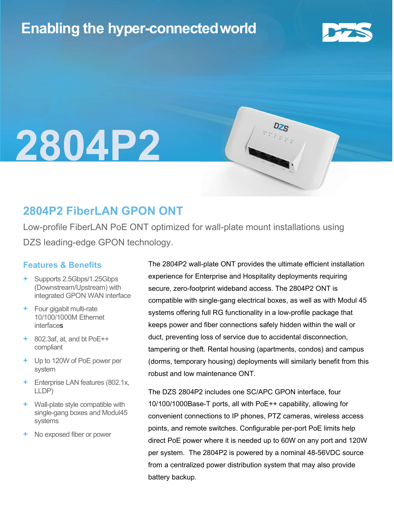## Enabling the hyper-connectedworld



## l 2804P2

### 2804P2 FiberLAN GPON ONT

Low-profile FiberLAN PoE ONT optimized for wall-plate mount installations using DZS leading-edge GPON technology.

#### Features & Benefits

- + Supports 2.5Gbps/1.25Gbps (Downstream/Upstream) with integrated GPON WAN interface
- + Four gigabit multi-rate 10/100/1000M Ethernet **interfaces**
- + 802.3af, at, and bt PoE++ compliant
- + Up to 120W of PoE power per system
- + Enterprise LAN features (802.1x, LLDP)
- + Wall-plate style compatible with single-gang boxes and Modul45 systems
- No exposed fiber or power

The 2804P2 wall-plate ONT provides the ultimate efficient installation experience for Enterprise and Hospitality deployments requiring secure, zero-footprint wideband access. The 2804P2 ONT is compatible with single-gang electrical boxes, as well as with Modul 45 systems offering full RG functionality in a low-profile package that keeps power and fiber connections safely hidden within the wall or duct, preventing loss of service due to accidental disconnection, tampering or theft. Rental housing (apartments, condos) and campus (dorms, temporary housing) deployments will similarly benefit from this robust and low maintenance ONT.

The DZS 2804P2 includes one SC/APC GPON interface, four 10/100/1000Base-T ports, all with PoE++ capability, allowing for convenient connections to IP phones, PTZ cameras, wireless access points, and remote switches. Configurable per-port PoE limits help direct PoE power where it is needed up to 60W on any port and 120W per system. The 2804P2 is powered by a nominal 48-56VDC source from a centralized power distribution system that may also provide battery backup.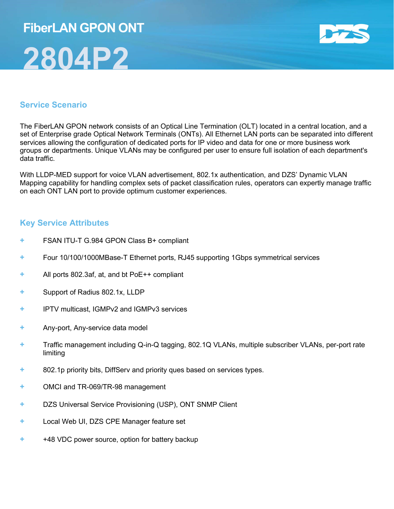# FiberLAN GPON ONT 2804P2



#### Service Scenario

The FiberLAN GPON network consists of an Optical Line Termination (OLT) located in a central location, and a set of Enterprise grade Optical Network Terminals (ONTs). All Ethernet LAN ports can be separated into different services allowing the configuration of dedicated ports for IP video and data for one or more business work groups or departments. Unique VLANs may be configured per user to ensure full isolation of each department's data traffic.

With LLDP-MED support for voice VLAN advertisement, 802.1x authentication, and DZS' Dynamic VLAN Mapping capability for handling complex sets of packet classification rules, operators can expertly manage traffic on each ONT LAN port to provide optimum customer experiences.

#### Key Service Attributes

- FSAN ITU-T G.984 GPON Class B+ compliant
- + Four 10/100/1000MBase-T Ethernet ports, RJ45 supporting 1Gbps symmetrical services
- + All ports 802.3af, at, and bt PoE++ compliant
- + Support of Radius 802.1x, LLDP
- + IPTV multicast, IGMPv2 and IGMPv3 services
- + Any-port, Any-service data model
- + Traffic management including Q-in-Q tagging, 802.1Q VLANs, multiple subscriber VLANs, per-port rate limiting
- + 802.1p priority bits, DiffServ and priority ques based on services types.
- + OMCI and TR-069/TR-98 management
- + DZS Universal Service Provisioning (USP), ONT SNMP Client
- + Local Web UI, DZS CPE Manager feature set
- + +48 VDC power source, option for battery backup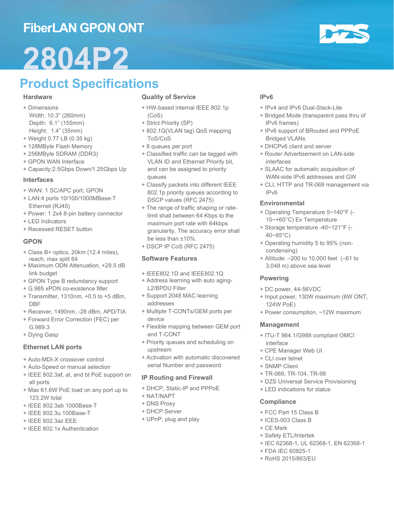## FiberLAN GPON ONT

# 2804P2

## Product Specifications

#### **Hardware**

- + Dimensions Width: 10.3" (260mm) Depth: 6.1" (155mm)
- Height: 1.4" (35mm)
- + Weight 0.77 LB (0.35 kg) + 128MByte Flash Memory
- + 256MByte SDRAM (DDR3)
- + GPON WAN Interface
- + Capacity:2.5Gbps Down/1.25Gbps Up

#### Interfaces

- + WAN: 1 SC/APC port, GPON
- + LAN:4 ports 10/100/1000MBase-T Ethernet (RJ45)
- + Power: 1 2x4 8-pin battery connector
- + LED Indicators
- + Recessed RESET button

#### GPON

- + Class B+ optics, 20km (12.4 miles), reach, max split 64
- + Maximum ODN Attenuation, +28.5 dB link budget
- + GPON Type B redundancy support
- + G.985 xPON co-existence filter
- + Transmitter, 1310nm, +0.5 to +5 dBm, DBF
- + Receiver, 1490nm, -28 dBm, APD/TIA
- + Forward Error Correction (FEC) per G.989.3
- + Dying Gasp

#### Ethernet LAN ports

- + Auto-MDI-X crossover control
- + Auto-Speed or manual selection
- + IEEE 802.3af, at, and bt PoE support on all ports
- + Max 61.6W PoE load on any port up to 123.2W total
- + IEEE 802.3ab 1000Base-T
- + IEEE 802.3u 100Base-T
- + IEEE 802.3az EEE
- + IEEE 802.1x Authentication

#### Quality of Service

- + HW-based internal IEEE 802.1p (CoS)
- + Strict Priority (SP)
- + 802.1Q(VLAN tag) QoS mapping ToS/CoS
- + 8 queues per port
- + Classified traffic can be tagged with VLAN ID and Ethernet Priority bit, and can be assigned to priority queues
- + Classify packets into different IEEE 802.1p priority queues according to DSCP values (RFC 2475)
- + The range of traffic shaping or ratelimit shall between 64 Kbps to the maximum port rate with 64kbps granularity. The accuracy error shall be less than ±10%.
- + DSCP IP CoS (RFC 2475)

#### Software Features

- + IEEE802.1D and IEEE802.1Q
- + Address learning with auto aging-L2/BPDU Filter
- + Support 2048 MAC learning addresses
- + Multiple T-CONTs/GEM ports per device
- + Flexible mapping between GEM port and T-CONT
- + Priority queues and scheduling on upstream
- + Activation with automatic discovered serial Number and password

#### IP Routing and Firewall

- + DHCP, Static-IP and PPPoE
- + NAT/NAPT
- + DNS Proxy
- + DHCP Server
- + UPnP, plug and play

#### IPv6

- + IPv4 and IPv6 Dual-Stack-Lite
- + Bridged Mode (transparent pass thru of IPv6 frames)
- + IPv6 support of BRouted and PPPoE Bridged VLANs
- + DHCPv6 client and server
- + Router Advertisement on LAN-side interfaces
- + SLAAC for automatic acquisition of WAN-side IPv6 addresses and GW
- + CLI, HTTP and TR-069 management via IPv6

#### **Environmental**

- + Operating Temperature 5~140°F (- 15~+60°C) Ex Temperature
- + Storage temperature -40~121°F (- 40~85°C)
- + Operating humidity 5 to 95% (noncondensing)
- + Altitude: –200 to 10,000 feet (–61 to 3,048 m) above sea level

#### Powering

- + DC power, 44-56VDC
- + Input power, 130W maximum (6W ONT, 124W PoE)
- + Power consumption, ~12W maximum

#### Management

- + ITU-T 984.1/G988 compliant OMCI interface
- + CPE Manager Web UI
- + CLI over telnet
- + SNMP Client
- + TR-069, TR-104, TR-98
- + DZS Universal Service Provisioning
- + LED indications for status

#### **Compliance**

- + FCC Part 15 Class B
- + ICES-003 Class B
- + CE Mark
- + Safety ETL/Intertek
- + IEC 62368-1, UL 62368-1, EN 62368-1
- + FDA IEC 60825-1
- + RoHS 2015/863/EU